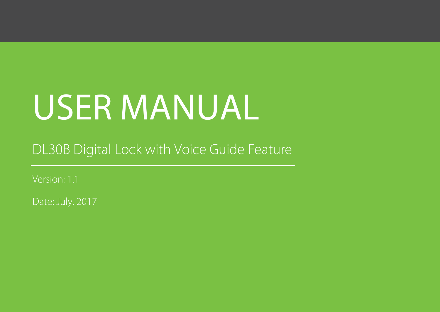# USER MANUAL

DL30B Digital Lock with Voice Guide Feature

Version: 1.1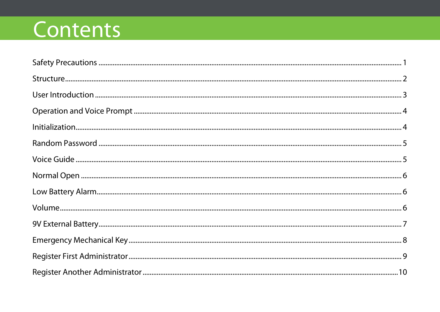## Contents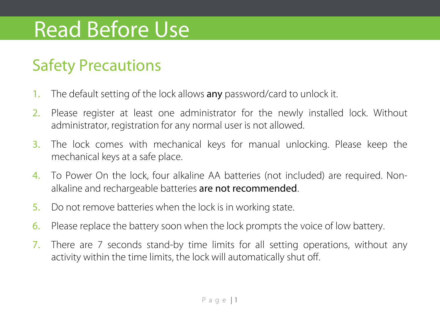## Read Before Use

### <span id="page-3-0"></span>Safety Precautions

- 1. The default setting of the lock allows any password/card to unlock it.
- 2. Please register at least one administrator for the newly installed lock. Without administrator, registration for any normal user is not allowed.
- 3. The lock comes with mechanical keys for manual unlocking. Please keep the mechanical keys at a safe place.
- 4. To Power On the lock, four alkaline AA batteries (not included) are required. Nonalkaline and rechargeable batteries are not recommended.
- 5. Do not remove batteries when the lock is in working state.
- 6. Please replace the battery soon when the lock prompts the voice of low battery.
- 7. There are 7 seconds stand-by time limits for all setting operations, without any activity within the time limits, the lock will automatically shut off.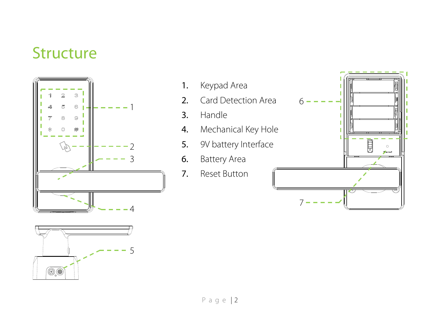### <span id="page-4-0"></span>**Structure**





- 1. Keypad Area
- 2. Card Detection Area
- 3. Handle
- 4. Mechanical Key Hole
- 5. 9V battery Interface
- 6. Battery Area
- 7. Reset Button

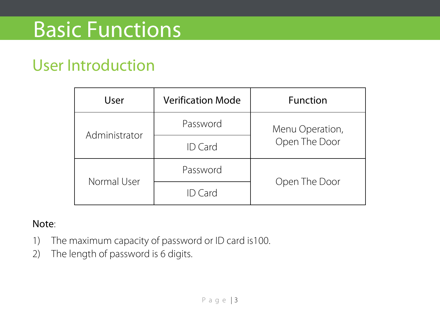## Basic Functions

### <span id="page-5-0"></span>User Introduction

| User          | Verification Mode | Function        |  |
|---------------|-------------------|-----------------|--|
| Administrator | Password          | Menu Operation, |  |
|               | <b>ID</b> Card    | Open The Door   |  |
| Normal User   | Password          |                 |  |
|               | <b>ID</b> Card    | Open The Door   |  |

- 1) The maximum capacity of password or ID card is100.
- 2) The length of password is 6 digits.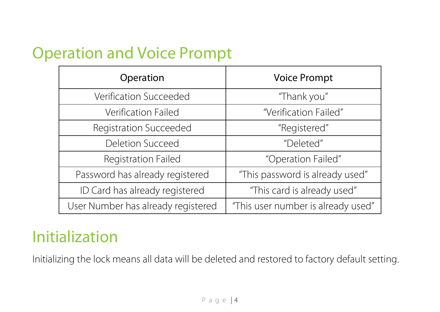### <span id="page-6-0"></span>Operation and Voice Prompt

| Operation                          | <b>Voice Prompt</b>                |
|------------------------------------|------------------------------------|
| Verification Succeeded             | "Thank you"                        |
| Verification Failed                | "Verification Failed"              |
| Registration Succeeded             | "Registered"                       |
| Deletion Succeed                   | "Deleted"                          |
| Registration Failed                | "Operation Failed"                 |
| Password has already registered    | "This password is already used"    |
| ID Card has already registered     | "This card is already used"        |
| User Number has already registered | "This user number is already used" |

### <span id="page-6-1"></span>Initialization

Initializing the lock means all data will be deleted and restored to factory default setting.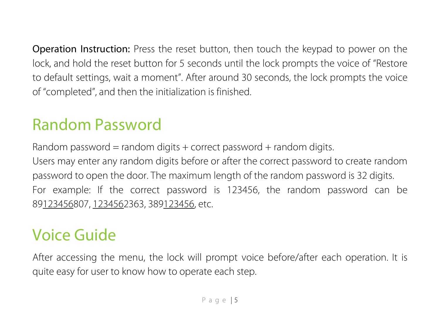Operation Instruction: Press the reset button, then touch the keypad to power on the lock, and hold the reset button for 5 seconds until the lock prompts the voice of "Restore to default settings, wait a moment". After around 30 seconds, the lock prompts the voice of "completed", and then the initialization is finished.

### <span id="page-7-0"></span>Random Password

Random password = random digits + correct password + random digits.

Users may enter any random digits before or after the correct password to create random password to open the door. The maximum length of the random password is 32 digits. For example: If the correct password is 123456, the random password can be 89123456807, 1234562363, 389123456, etc.

### <span id="page-7-1"></span>Voice Guide

After accessing the menu, the lock will prompt voice before/after each operation. It is quite easy for user to know how to operate each step.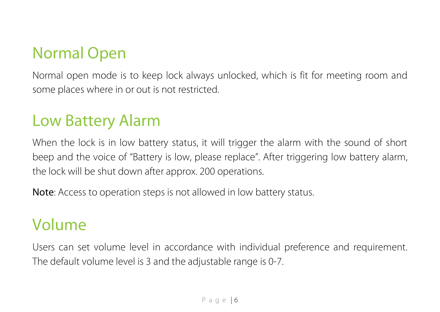### <span id="page-8-0"></span>Normal Open

Normal open mode is to keep lock always unlocked, which is fit for meeting room and some places where in or out is not restricted.

### <span id="page-8-1"></span>Low Battery Alarm

When the lock is in low battery status, it will trigger the alarm with the sound of short beep and the voice of "Battery is low, please replace". After triggering low battery alarm, the lock will be shut down after approx. 200 operations.

Note: Access to operation steps is not allowed in low battery status.

### <span id="page-8-2"></span>Volume

Users can set volume level in accordance with individual preference and requirement. The default volume level is 3 and the adjustable range is 0-7.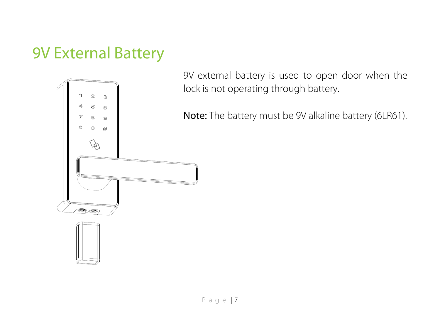### <span id="page-9-0"></span>9V External Battery



9V external battery is used to open door when the lock is not operating through battery.

Note: The battery must be 9V alkaline battery (6LR61).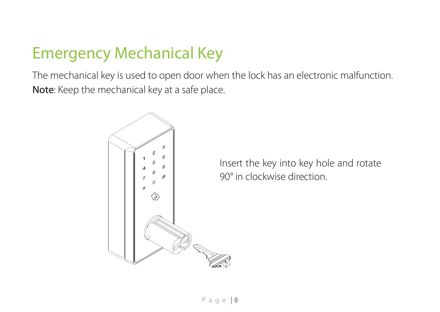### <span id="page-10-0"></span>Emergency Mechanical Key

The mechanical key is used to open door when the lock has an electronic malfunction. Note: Keep the mechanical key at a safe place.



Insert the key into key hole and rotate 90° in clockwise direction.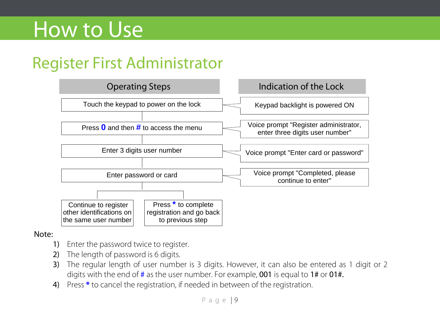## How to Use

### <span id="page-11-0"></span>Register First Administrator



- 1) Fnter the password twice to register.
- 2) The length of password is 6 digits.
- 3) The regular length of user number is 3 digits. However, it can also be entered as 1 digit or 2 digits with the end of  $\#$  as the user number. For example, **001** is equal to 1# or **01#.**
- 4) Press **\*** to cancel the registration, if needed in between of the registration.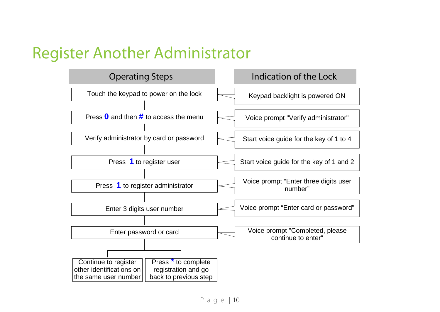### <span id="page-12-0"></span>Register Another Administrator

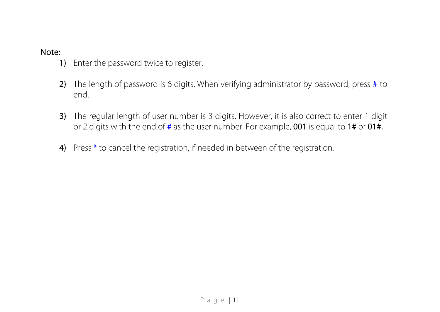- 1) Enter the password twice to register.
- 2) The length of password is 6 digits. When verifying administrator by password, press # to end.
- 3) The regular length of user number is 3 digits. However, it is also correct to enter 1 digit or 2 digits with the end of  $\#$  as the user number. For example, 001 is equal to 1# or 01#.
- 4) Press \* to cancel the registration, if needed in between of the registration.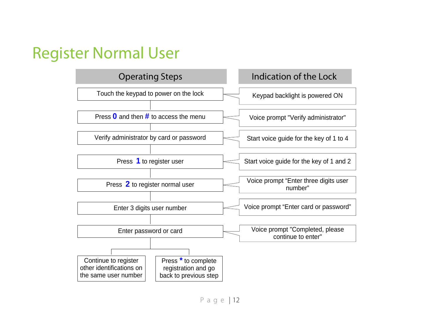### <span id="page-14-0"></span>Register Normal User

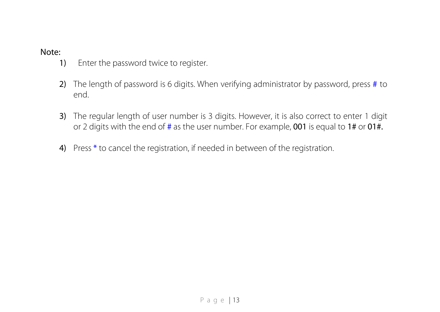- 1) Enter the password twice to register.
- 2) The length of password is 6 digits. When verifying administrator by password, press # to end.
- 3) The regular length of user number is 3 digits. However, it is also correct to enter 1 digit or 2 digits with the end of  $\#$  as the user number. For example, 001 is equal to 1# or 01#.
- 4) Press \* to cancel the registration, if needed in between of the registration.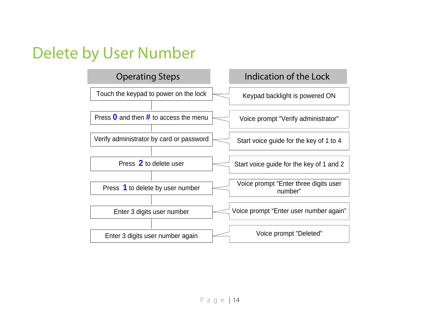### <span id="page-16-0"></span>Delete by User Number

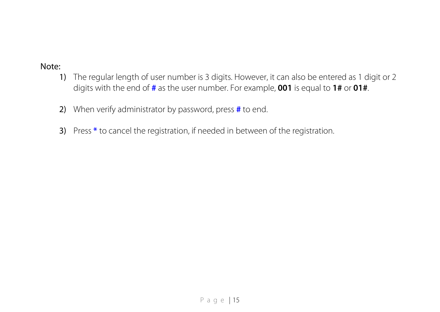- 1) The regular length of user number is 3 digits. However, it can also be entered as 1 digit or 2 digits with the end of **#** as the user number. For example, **001** is equal to **1#** or **01#**.
- 2) When verify administrator by password, press **#** to end.
- 3) Press **\*** to cancel the registration, if needed in between of the registration.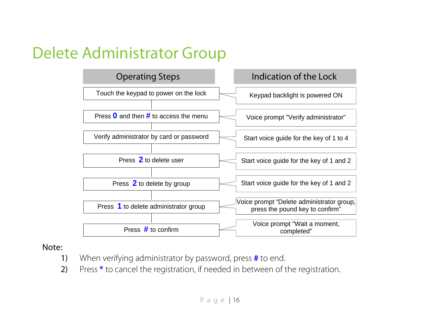### <span id="page-18-0"></span>Delete Administrator Group



- 1) When verifying administrator by password, press **#** to end.
- 2) Press **\*** to cancel the registration, if needed in between of the registration.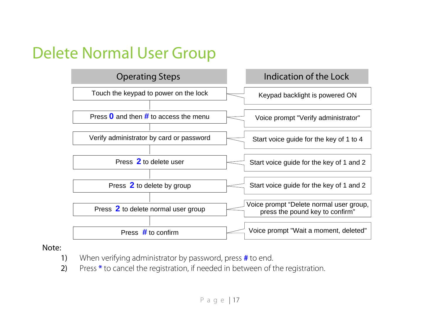### <span id="page-19-0"></span>Delete Normal User Group



- 1) When verifying administrator by password, press **#** to end.
- 2) Press **\*** to cancel the registration, if needed in between of the registration.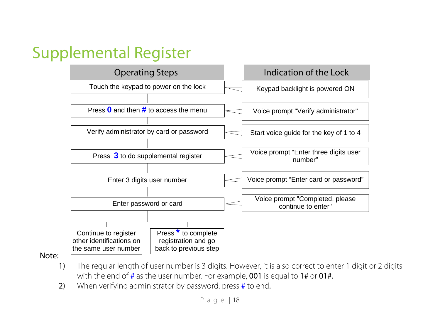### <span id="page-20-0"></span>Supplemental Register



- 1) The regular length of user number is 3 digits. However, it is also correct to enter 1 digit or 2 digits with the end of  $\#$  as the user number. For example, 001 is equal to 1# or 01 $\#$ .
- 2) When verifying administrator by password, press # to end.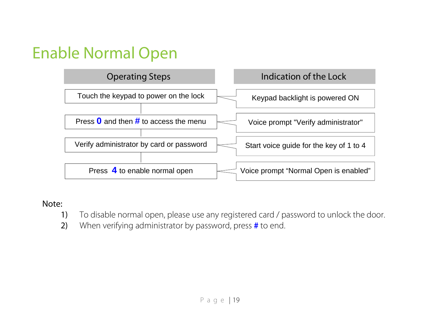### <span id="page-21-0"></span>Enable Normal Open



- 1) To disable normal open, please use any registered card / password to unlock the door.
- 2) When verifying administrator by password, press **#** to end.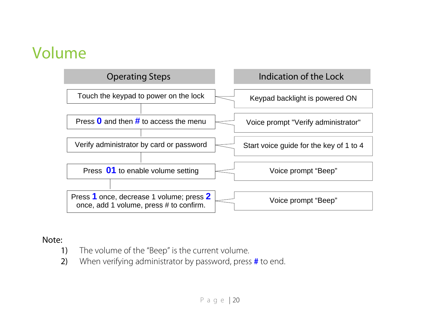### <span id="page-22-0"></span>Volume



- 1) The volume of the "Beep" is the current volume.
- 2) When verifying administrator by password, press **#** to end.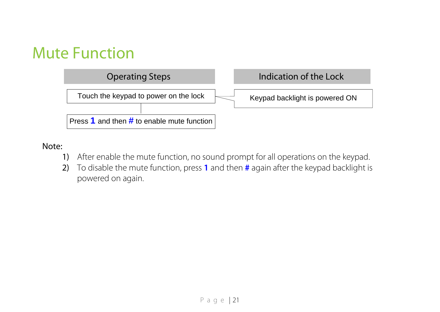### <span id="page-23-0"></span>Mute Function



- 1) After enable the mute function, no sound prompt for all operations on the keypad.
- 2) To disable the mute function, press **1** and then **#** again after the keypad backlight is powered on again.